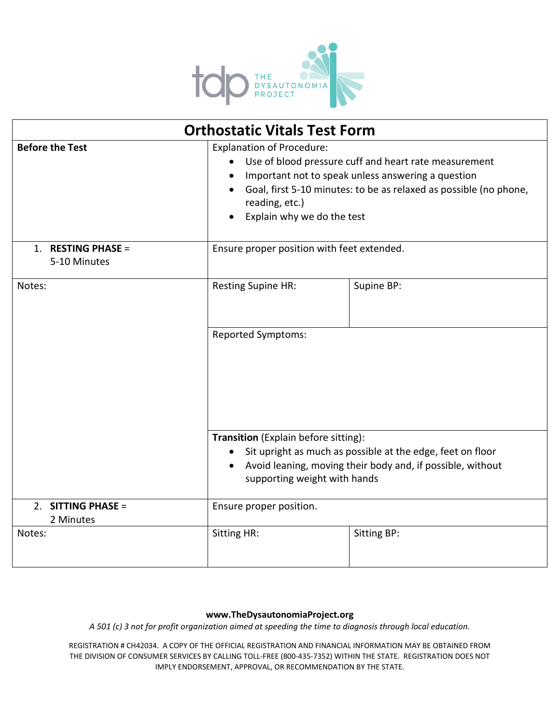

| <b>Orthostatic Vitals Test Form</b> |                                                                                                                                                                                                                                                                      |                    |
|-------------------------------------|----------------------------------------------------------------------------------------------------------------------------------------------------------------------------------------------------------------------------------------------------------------------|--------------------|
| <b>Before the Test</b>              | <b>Explanation of Procedure:</b><br>Use of blood pressure cuff and heart rate measurement<br>Important not to speak unless answering a question<br>Goal, first 5-10 minutes: to be as relaxed as possible (no phone,<br>reading, etc.)<br>Explain why we do the test |                    |
| 1. RESTING PHASE =<br>5-10 Minutes  | Ensure proper position with feet extended.                                                                                                                                                                                                                           |                    |
| Notes:                              | <b>Resting Supine HR:</b>                                                                                                                                                                                                                                            | Supine BP:         |
|                                     | Reported Symptoms:                                                                                                                                                                                                                                                   |                    |
|                                     | Transition (Explain before sitting):<br>Sit upright as much as possible at the edge, feet on floor<br>$\bullet$<br>Avoid leaning, moving their body and, if possible, without<br>$\bullet$<br>supporting weight with hands                                           |                    |
| 2. SITTING PHASE =<br>2 Minutes     | Ensure proper position.                                                                                                                                                                                                                                              |                    |
| Notes:                              | <b>Sitting HR:</b>                                                                                                                                                                                                                                                   | <b>Sitting BP:</b> |

## **www.TheDysautonomiaProject.org**

*A 501 (c) 3 not for profit organization aimed at speeding the time to diagnosis through local education.*

REGISTRATION # CH42034. A COPY OF THE OFFICIAL REGISTRATION AND FINANCIAL INFORMATION MAY BE OBTAINED FROM THE DIVISION OF CONSUMER SERVICES BY CALLING TOLL-FREE (800-435-7352) WITHIN THE STATE. REGISTRATION DOES NOT IMPLY ENDORSEMENT, APPROVAL, OR RECOMMENDATION BY THE STATE.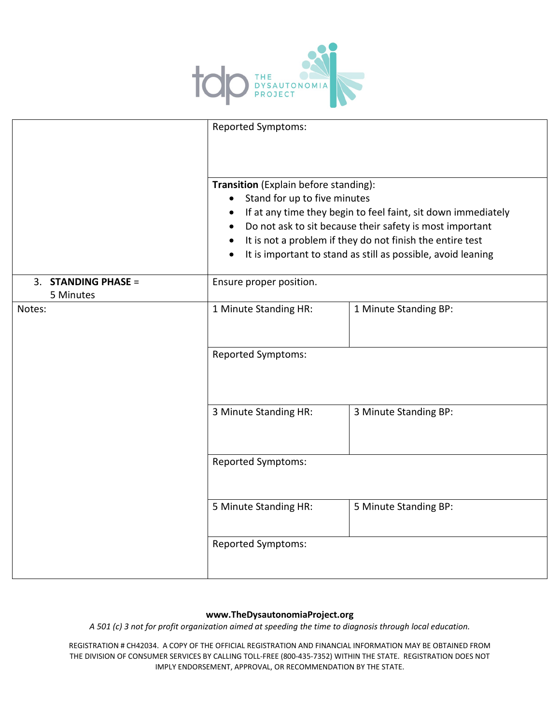

|                                  | <b>Reported Symptoms:</b><br>Transition (Explain before standing):<br>Stand for up to five minutes<br>$\bullet$<br>If at any time they begin to feel faint, sit down immediately<br>Do not ask to sit because their safety is most important<br>It is not a problem if they do not finish the entire test<br>$\bullet$<br>It is important to stand as still as possible, avoid leaning<br>$\bullet$ |                       |
|----------------------------------|-----------------------------------------------------------------------------------------------------------------------------------------------------------------------------------------------------------------------------------------------------------------------------------------------------------------------------------------------------------------------------------------------------|-----------------------|
|                                  |                                                                                                                                                                                                                                                                                                                                                                                                     |                       |
| 3. STANDING PHASE =<br>5 Minutes | Ensure proper position.                                                                                                                                                                                                                                                                                                                                                                             |                       |
| Notes:                           | 1 Minute Standing HR:                                                                                                                                                                                                                                                                                                                                                                               | 1 Minute Standing BP: |
|                                  | <b>Reported Symptoms:</b>                                                                                                                                                                                                                                                                                                                                                                           |                       |
|                                  | 3 Minute Standing HR:                                                                                                                                                                                                                                                                                                                                                                               | 3 Minute Standing BP: |
|                                  | <b>Reported Symptoms:</b>                                                                                                                                                                                                                                                                                                                                                                           |                       |
|                                  | 5 Minute Standing HR:                                                                                                                                                                                                                                                                                                                                                                               | 5 Minute Standing BP: |
|                                  | <b>Reported Symptoms:</b>                                                                                                                                                                                                                                                                                                                                                                           |                       |

## **www.TheDysautonomiaProject.org**

*A 501 (c) 3 not for profit organization aimed at speeding the time to diagnosis through local education.*

REGISTRATION # CH42034. A COPY OF THE OFFICIAL REGISTRATION AND FINANCIAL INFORMATION MAY BE OBTAINED FROM THE DIVISION OF CONSUMER SERVICES BY CALLING TOLL-FREE (800-435-7352) WITHIN THE STATE. REGISTRATION DOES NOT IMPLY ENDORSEMENT, APPROVAL, OR RECOMMENDATION BY THE STATE.